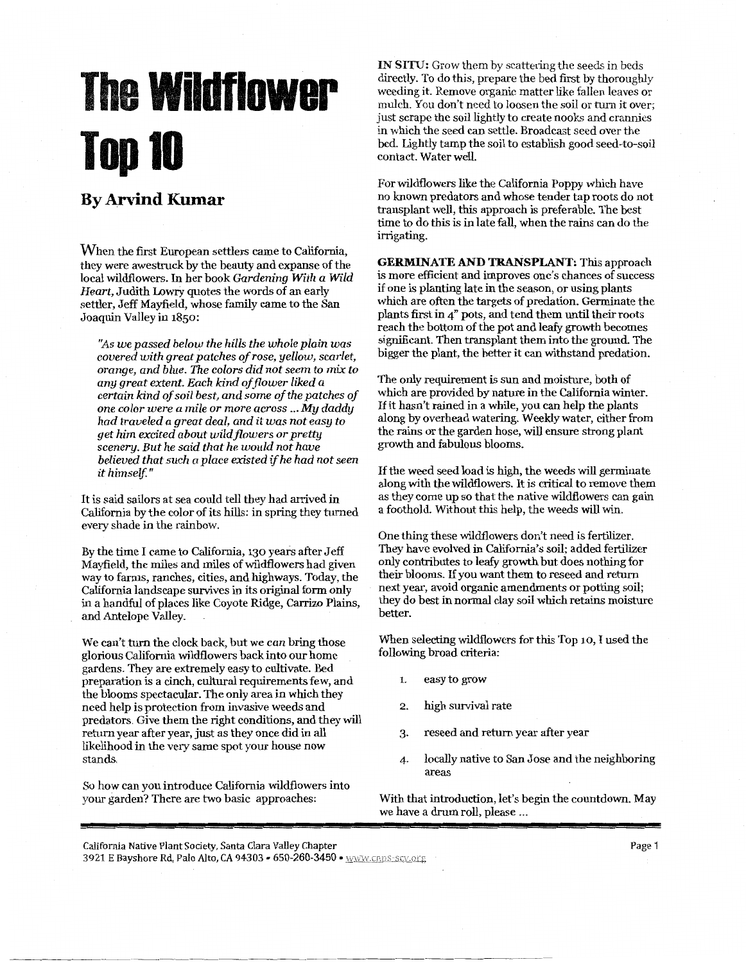## **The Wildflower ToplO**

## **By Arvind Kumar**

When the first European settlers came to California, they were awestruck by the beauty and expanse of the local wildflowers. In her book *Gardening With a Wild Heart,* Judith Lowry quotes the words of an early settler, Jeff Mayfield, whose family came to the San Joaquin Valley in 1850:

*"As we passed below the hills the whole plain was covered with great patches of rose, yellow, scarlet, orange, and blue. The colors did not seem to mix to any great extent. Each kind of flower liked a certain kind of soil best, and some of the patches of one color were a mile or more across* ... *My daddy had traveled a great deal, and it was not easy to get him excited about wildflowers or pretty scenery. But he said that he would not have believed that such a place existed* if *he had not seen it himself.* "

It is said sailors at sea could tell they had arrived in California by the color of its hills: in spring they turned every shade in the rainbow.

By the time I came to California, 130 years after Jeff Mayfield, the miles and miles of wildflowers had given way to farms, ranches, cities, and highways. Today, the California landscape survives in its original form only in a handful of places like Coyote Ridge, Carrizo Plains, and Antelope Valley.

We can't turn the clock back, but we *can* bring those glorious California wildflowers back into our home gardens. They are extremely easy to cultivate. Bed preparation is a cinch, cultural requirements few, and the blooms spectacular. The only area in which they need help is protection from invasive weeds and predators. Give them the right conditions, and they will return year after year, just as they once did in all likelihood in the very same spot your house now stands.

So how can you introduce California wildflowers into your garden? There are two basic approaches:

IN SITU: Grow them by scattering the seeds in beds directly. To do this, prepare the bed first by thoroughly weeding it. Remove organic matter like fallen leaves or mulch. You don't need to loosen the soil or turn it over; just scrape the soil lightly to create nooks and crannies in which the seed can settle. Broadcast seed over the bed. Lightly tamp the soil to establish good seed-to-soil contact. Water well.

For wildflowers like the California Poppy which have no known predators and whose tender tap roots do not transplant well, this approach is preferable. The best time to do this is in late fall, when the rains can do the irrigating.

**GERMINATE AND TRANSPLANT:** This approach is more efficient and improves one's chances of success if one is planting late in the season, or using plants which are often the targets of predation. Germinate the plants first in 4" pots, and tend them until their roots reach the bottom of the pot and leafy growth becomes significant. Then transplant them into the ground. The bigger the plant, the better it can withstand predation.

The only requirement is sun and moisture, both of which are provided by nature in the California winter. If it hasn't rained in a while, you can help the plants along by overhead watering. Weekly water, either from the rains or the garden hose, will ensure strong plant growth and fabulous blooms.

If the weed seed load is high, the weeds will germinate along with the wildflowers. It is critical to remove them as they come up so that the native wildflowers can gain a foothold. Without this help, the weeds will win.

One thing these wildflowers don't need is fertilizer. They have evolved in California's soil; added fertilizer only contributes to leafy growth but does nothing for their blooms. If you want them to reseed and return next year, avoid organic amendments or potting soil; they do best in normal clay soil which retains moisture better.

When selecting wildflowers for this Top 10, I used the following broad criteria:

- 1. easy to grow
- 2. high survival rate
- 3. reseed and return year after year
- 4- locally native to San Jose and the neighboring areas

With that introduction, let's begin the countdown. May we have a drum roll, please ...

California Native Plant Sodety, Santa Clara Valley Chapter 3921 E Bayshore Rd, Palo Alto, CA 94303 • 650-260-3450 • www.cnps-scv.org